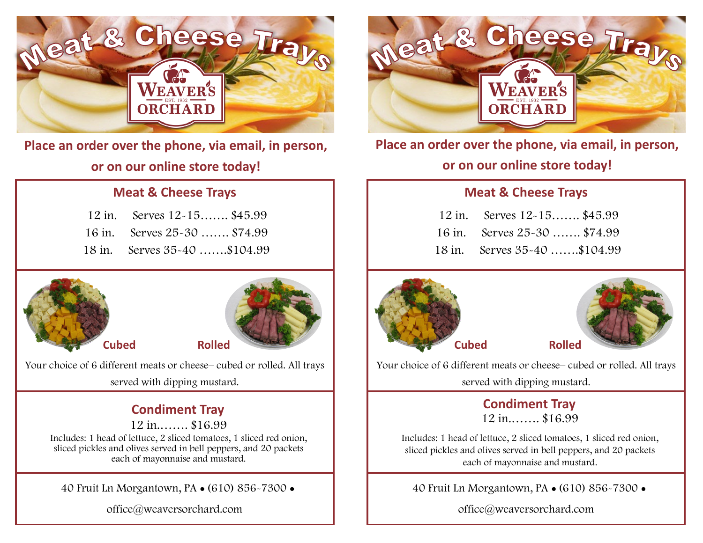

**Place an order over the phone, via email, in person, or on our online store today!**

### **Meat & Cheese Trays**

| 12 in. Serves 12-15 \$45.99  |  |
|------------------------------|--|
| 16 in. Serves 25-30  \$74.99 |  |
| 18 in. Serves 35-40 \$104.99 |  |





 **Cubed Rolled**

Your choice of 6 different meats or cheese– cubed or rolled. All trays served with dipping mustard.

### **Condiment Tray**

 12 in.……. \$16.99 Includes: 1 head of lettuce, 2 sliced tomatoes, 1 sliced red onion, sliced pickles and olives served in bell peppers, and 20 packets each of mayonnaise and mustard.

40 Fruit Ln Morgantown, PA ● (610) 856-7300 ●

office@weaversorchard.com



**Place an order over the phone, via email, in person, or on our online store today!**

#### **Meat & Cheese Trays**

| 12 in. Serves 12-15 \$45.99  |  |
|------------------------------|--|
| 16 in. Serves 25-30  \$74.99 |  |
| 18 in. Serves 35-40 \$104.99 |  |





Your choice of 6 different meats or cheese– cubed or rolled. All trays

served with dipping mustard.

#### **Condiment Tray** 12 in.……. \$16.99

Includes: 1 head of lettuce, 2 sliced tomatoes, 1 sliced red onion, sliced pickles and olives served in bell peppers, and 20 packets each of mayonnaise and mustard.

40 Fruit Ln Morgantown, PA ● (610) 856-7300 ●

office@weaversorchard.com